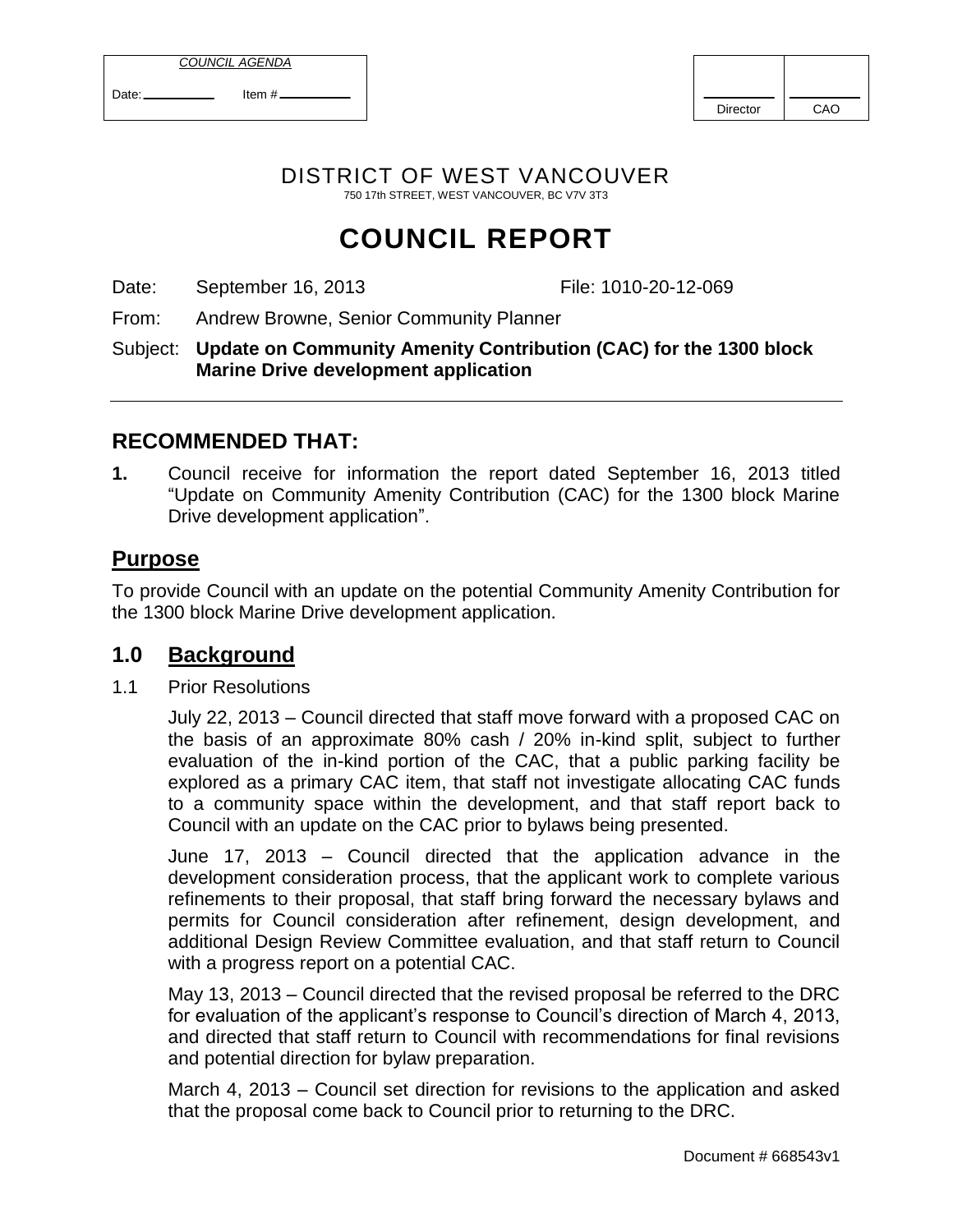|--|

| Date: | Item $#$ |
|-------|----------|

| <b>Director</b> | CAO |
|-----------------|-----|

DISTRICT OF WEST VANCOUVER 750 17th STREET, WEST VANCOUVER, BC V7V 3T3

# **COUNCIL REPORT**

Date: September 16, 2013 File: 1010-20-12-069

From: Andrew Browne, Senior Community Planner

Subject: **Update on Community Amenity Contribution (CAC) for the 1300 block Marine Drive development application** 

# **RECOMMENDED THAT:**

**1.** Council receive for information the report dated September 16, 2013 titled "Update on Community Amenity Contribution (CAC) for the 1300 block Marine Drive development application".

# **Purpose**

To provide Council with an update on the potential Community Amenity Contribution for the 1300 block Marine Drive development application.

## **1.0 Background**

1.1 Prior Resolutions

July 22, 2013 – Council directed that staff move forward with a proposed CAC on the basis of an approximate 80% cash / 20% in-kind split, subject to further evaluation of the in-kind portion of the CAC, that a public parking facility be explored as a primary CAC item, that staff not investigate allocating CAC funds to a community space within the development, and that staff report back to Council with an update on the CAC prior to bylaws being presented.

June 17, 2013 – Council directed that the application advance in the development consideration process, that the applicant work to complete various refinements to their proposal, that staff bring forward the necessary bylaws and permits for Council consideration after refinement, design development, and additional Design Review Committee evaluation, and that staff return to Council with a progress report on a potential CAC.

May 13, 2013 – Council directed that the revised proposal be referred to the DRC for evaluation of the applicant's response to Council's direction of March 4, 2013, and directed that staff return to Council with recommendations for final revisions and potential direction for bylaw preparation.

March 4, 2013 – Council set direction for revisions to the application and asked that the proposal come back to Council prior to returning to the DRC.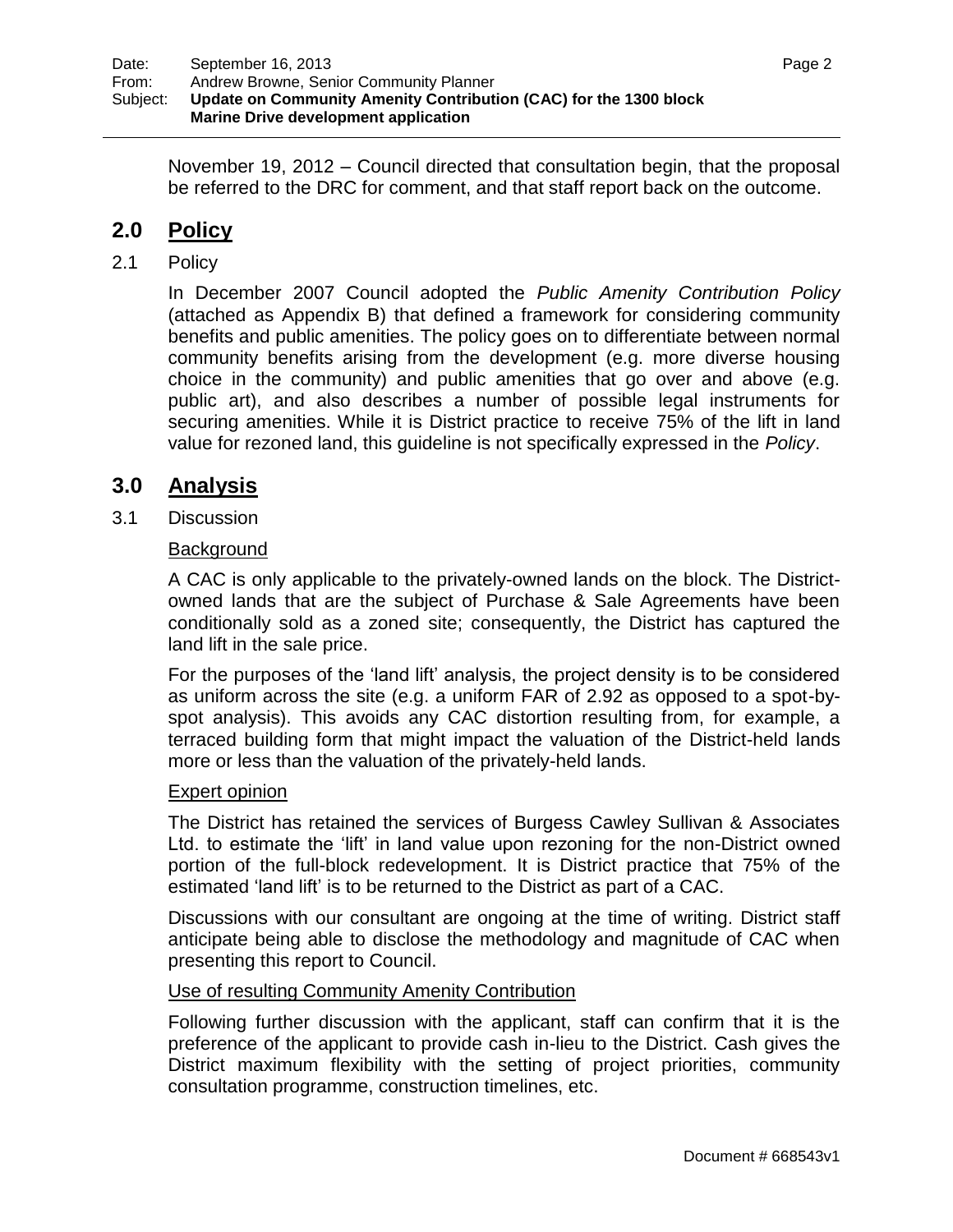November 19, 2012 – Council directed that consultation begin, that the proposal be referred to the DRC for comment, and that staff report back on the outcome.

# **2.0 Policy**

## 2.1 Policy

In December 2007 Council adopted the *Public Amenity Contribution Policy* (attached as Appendix B) that defined a framework for considering community benefits and public amenities. The policy goes on to differentiate between normal community benefits arising from the development (e.g. more diverse housing choice in the community) and public amenities that go over and above (e.g. public art), and also describes a number of possible legal instruments for securing amenities. While it is District practice to receive 75% of the lift in land value for rezoned land, this guideline is not specifically expressed in the *Policy*.

## **3.0 Analysis**

3.1 Discussion

## Background

A CAC is only applicable to the privately-owned lands on the block. The Districtowned lands that are the subject of Purchase & Sale Agreements have been conditionally sold as a zoned site; consequently, the District has captured the land lift in the sale price.

For the purposes of the "land lift" analysis, the project density is to be considered as uniform across the site (e.g. a uniform FAR of 2.92 as opposed to a spot-byspot analysis). This avoids any CAC distortion resulting from, for example, a terraced building form that might impact the valuation of the District-held lands more or less than the valuation of the privately-held lands.

### Expert opinion

The District has retained the services of Burgess Cawley Sullivan & Associates Ltd. to estimate the "lift" in land value upon rezoning for the non-District owned portion of the full-block redevelopment. It is District practice that 75% of the estimated "land lift" is to be returned to the District as part of a CAC.

Discussions with our consultant are ongoing at the time of writing. District staff anticipate being able to disclose the methodology and magnitude of CAC when presenting this report to Council.

### Use of resulting Community Amenity Contribution

Following further discussion with the applicant, staff can confirm that it is the preference of the applicant to provide cash in-lieu to the District. Cash gives the District maximum flexibility with the setting of project priorities, community consultation programme, construction timelines, etc.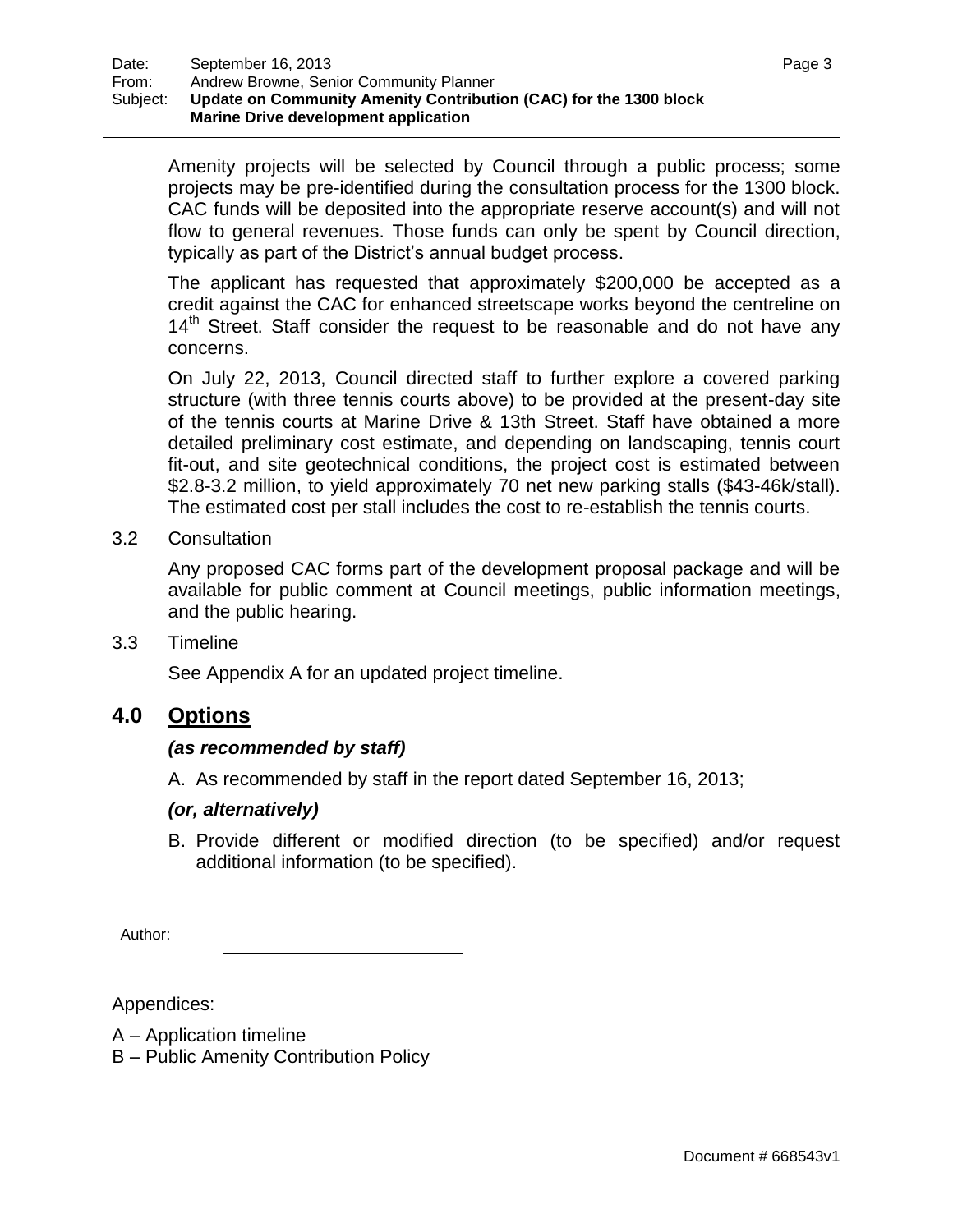Amenity projects will be selected by Council through a public process; some projects may be pre-identified during the consultation process for the 1300 block. CAC funds will be deposited into the appropriate reserve account(s) and will not flow to general revenues. Those funds can only be spent by Council direction, typically as part of the District"s annual budget process.

The applicant has requested that approximately \$200,000 be accepted as a credit against the CAC for enhanced streetscape works beyond the centreline on  $14<sup>th</sup>$  Street. Staff consider the request to be reasonable and do not have any concerns.

On July 22, 2013, Council directed staff to further explore a covered parking structure (with three tennis courts above) to be provided at the present-day site of the tennis courts at Marine Drive & 13th Street. Staff have obtained a more detailed preliminary cost estimate, and depending on landscaping, tennis court fit-out, and site geotechnical conditions, the project cost is estimated between \$2.8-3.2 million, to yield approximately 70 net new parking stalls (\$43-46k/stall). The estimated cost per stall includes the cost to re-establish the tennis courts.

3.2 Consultation

Any proposed CAC forms part of the development proposal package and will be available for public comment at Council meetings, public information meetings, and the public hearing.

3.3 Timeline

See Appendix A for an updated project timeline.

## **4.0 Options**

### *(as recommended by staff)*

A. As recommended by staff in the report dated September 16, 2013;

### *(or, alternatively)*

B. Provide different or modified direction (to be specified) and/or request additional information (to be specified).

Author:

Appendices:

- A Application timeline
- B Public Amenity Contribution Policy